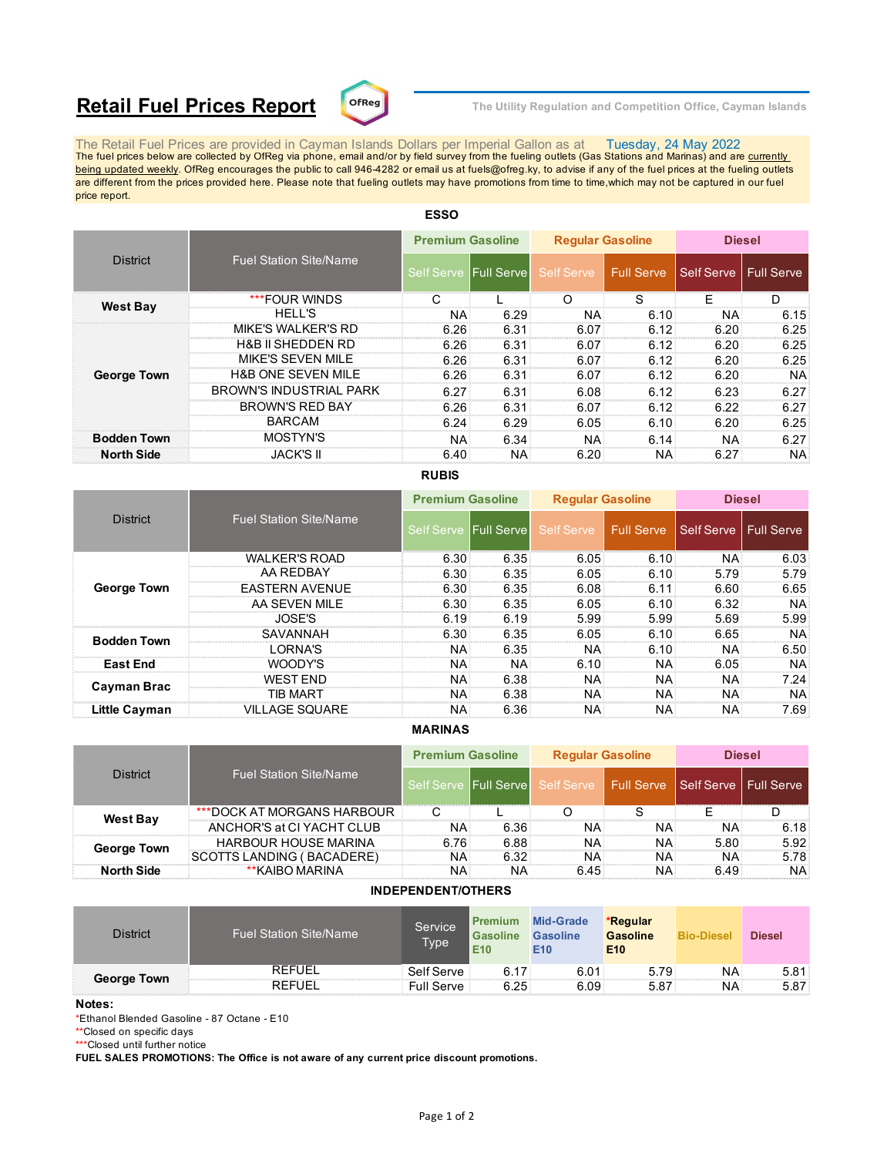# **Retail Fuel Prices Report**  $\text{C}^{\text{DFReg}}$  The Utility Regulation and Competition Office, Cayman Islands



The Retail Fuel Prices are provided in Cayman Islands Dollars per Imperial Gallon as at Tuesday, 24 May 2022<br>The fuel prices below are collected by OfReg via phone, email and/or by field survey from the fueling outlets (G being updated weekly. OfReg encourages the public to call 946-4282 or email us at fuels@ofreg.ky, to advise if any of the fuel prices at the fueling outlets are different from the prices provided here. Please note that fueling outlets may have promotions from time to time,which may not be captured in our fuel price report.

| <b>District</b>    |                                | <b>Premium Gasoline</b> |      | <b>Regular Gasoline</b> |              | <b>Diesel</b>           |           |
|--------------------|--------------------------------|-------------------------|------|-------------------------|--------------|-------------------------|-----------|
|                    | <b>Fuel Station Site/Name</b>  | Self Serve Full Serve   |      | Self Serve              | l Full Serve | Self Serve   Full Serve |           |
|                    | ***FOUR WINDS                  |                         |      | ∩                       | S            | F                       | D         |
| <b>West Bay</b>    | <b>HELL'S</b>                  | NA                      | 6.29 | NA:                     | 6.10         | <b>NA</b>               | 6.15      |
|                    | <b>MIKE'S WALKER'S RD</b>      | 6.26                    | 6.31 | 6.07                    | 6.12         | 6.20                    | 6.25      |
|                    | <b>H&amp;B II SHEDDEN RD</b>   | 6.26                    | 6.31 | 6.07                    | 6.12         | 6.20                    | 6.25      |
|                    | MIKE'S SEVEN MILE              | 6.26                    | 6.31 | 6.07                    | 6.12         | 6.20                    | 6.25      |
| <b>George Town</b> | <b>H&amp;B ONE SEVEN MILE</b>  | 6.26                    | 6.31 | 6.07                    | 6.12         | 6.20                    | NA.       |
|                    | <b>BROWN'S INDUSTRIAL PARK</b> | 6.27                    | 6.31 | 6.08                    | 6.12         | 6.23                    | 6.27      |
|                    | <b>BROWN'S RED BAY</b>         | 6.26                    | 6.31 | 6.07                    | 6.12         | 6.22                    | 6.27      |
|                    | <b>BARCAM</b>                  | 6.24                    | 6.29 | 6.05                    | 6.10         | 6.20                    | 6.25      |
| <b>Bodden Town</b> | MOSTYN'S                       | <b>NA</b>               | 6.34 | <b>NA</b>               | 6.14         | <b>NA</b>               | 6.27      |
| <b>North Side</b>  | <b>JACK'S II</b>               | 6.40                    | NA.  | 6.20                    | NA:          | 6.27                    | <b>NA</b> |

# **ESSO**

## **RUBIS**

|                      |                               |                   | <b>Premium Gasoline</b> |                   | <b>Regular Gasoline</b> | <b>Diesel</b> |                   |
|----------------------|-------------------------------|-------------------|-------------------------|-------------------|-------------------------|---------------|-------------------|
| <b>District</b>      | <b>Fuel Station Site/Name</b> | <b>Self Serve</b> | <b>Full Servel</b>      | <b>Self Serve</b> | Full Serve              | Self Serve    | <b>Full Serve</b> |
|                      | <b>WALKER'S ROAD</b>          | 6.30              | 6.35                    | 6.05              | 6.10                    | <b>NA</b>     | 6.03              |
|                      | AA REDBAY                     | 6.30              | 6.35                    | 6.05              | 6.10                    | 5.79          | 5.79              |
| <b>George Town</b>   | <b>EASTERN AVENUE</b>         | 6.30              | 6.35                    | 6.08              | 6.11                    | 6.60          | 6.65              |
|                      | AA SEVEN MILE                 | 6.30              | 6.35                    | 6.05              | $6.10^{\circ}$          | 6.32          | NA:               |
|                      | JOSE'S                        | 6.19              | 6.19                    | 5.99              | 5.99                    | 5.69          | 5.99              |
| <b>Bodden Town</b>   | SAVANNAH                      | 6.30              | 6.35                    | 6.05              | 6.10                    | 6.65          | <b>NA</b>         |
|                      | I ORNA'S                      | NA                | 6.35                    | NA.               | 6.10                    | <b>NA</b>     | 6.50              |
| <b>East End</b>      | WOODY'S                       | ΝA                | <b>NA</b>               | 6.10              | NA:                     | 6.05          | NA:               |
| Cayman Brac          | <b>WEST END</b>               | <b>NA</b>         | 6.38                    | <b>NA</b>         | NA:                     | <b>NA</b>     | $7.24^{\circ}$    |
|                      | TIB MART                      | NA                | 6.38                    | NA:               | NA:                     | <b>NA</b>     | NA:               |
| <b>Little Cayman</b> | <b>VILLAGE SQUARE</b>         | NA                | 6.36                    | <b>NA</b>         | NA:                     | <b>NA</b>     | 7.69              |

### **MARINAS**

| <b>District</b>    |                               | <b>Premium Gasoline</b> |                       | <b>Regular Gasoline</b> |                                                   | <b>Diesel</b> |           |
|--------------------|-------------------------------|-------------------------|-----------------------|-------------------------|---------------------------------------------------|---------------|-----------|
|                    | <b>Fuel Station Site/Name</b> |                         | Self Serve Full Serve |                         | Self Serve   Full Serve   Self Serve   Full Serve |               |           |
| <b>West Bay</b>    | ***DOCK AT MORGANS HARBOUR    |                         |                       |                         |                                                   |               |           |
|                    | ANCHOR'S at CI YACHT CLUB     | <b>NA</b>               | 6.36                  | NA.                     | NA:                                               | NA:           | 6.18      |
| <b>George Town</b> | <b>HARBOUR HOUSE MARINA</b>   | 6.76                    | 6.88                  | NA:                     | NA:                                               | 5.80          | 5.92      |
|                    | SCOTTS LANDING ( BACADERE)    | <b>NA</b>               | 6.32                  | NA.                     | NA:                                               | NA.           | 5.78      |
| <b>North Side</b>  | **KAIBO MARINA                | ΝA                      | NA                    | 6.45                    | NA:                                               | 6.49          | <b>NA</b> |

### **INDEPENDENT/OTHERS**

| <b>District</b>    | <b>Fuel Station Site/Name</b> | Service<br>Typel | <b>Mid-Grade</b><br><b>Premium</b><br><b>Gasoline</b><br><b>Gasoline</b><br>E <sub>10</sub><br>E <sub>10</sub> |      | *Regular<br><b>Gasoline</b><br>E <sub>10</sub> | <b>Bio-Diesel</b> | <b>Diesel</b> |
|--------------------|-------------------------------|------------------|----------------------------------------------------------------------------------------------------------------|------|------------------------------------------------|-------------------|---------------|
| <b>George Town</b> | <b>REFUEL</b>                 | Self Serve       | 6.17                                                                                                           | 6.01 | $5.79^{\circ}$                                 | NA                | 5.81          |
|                    | <b>REFUEL</b>                 | Full Serve       | 6.25                                                                                                           | 6.09 | 5.87                                           | NA                | 5.87          |

#### **Notes:**

\*Ethanol Blended Gasoline - 87 Octane - E10

\*\*Closed on specific days

\*\*\*Closed until further notice

**FUEL SALES PROMOTIONS: The Office is not aware of any current price discount promotions.**